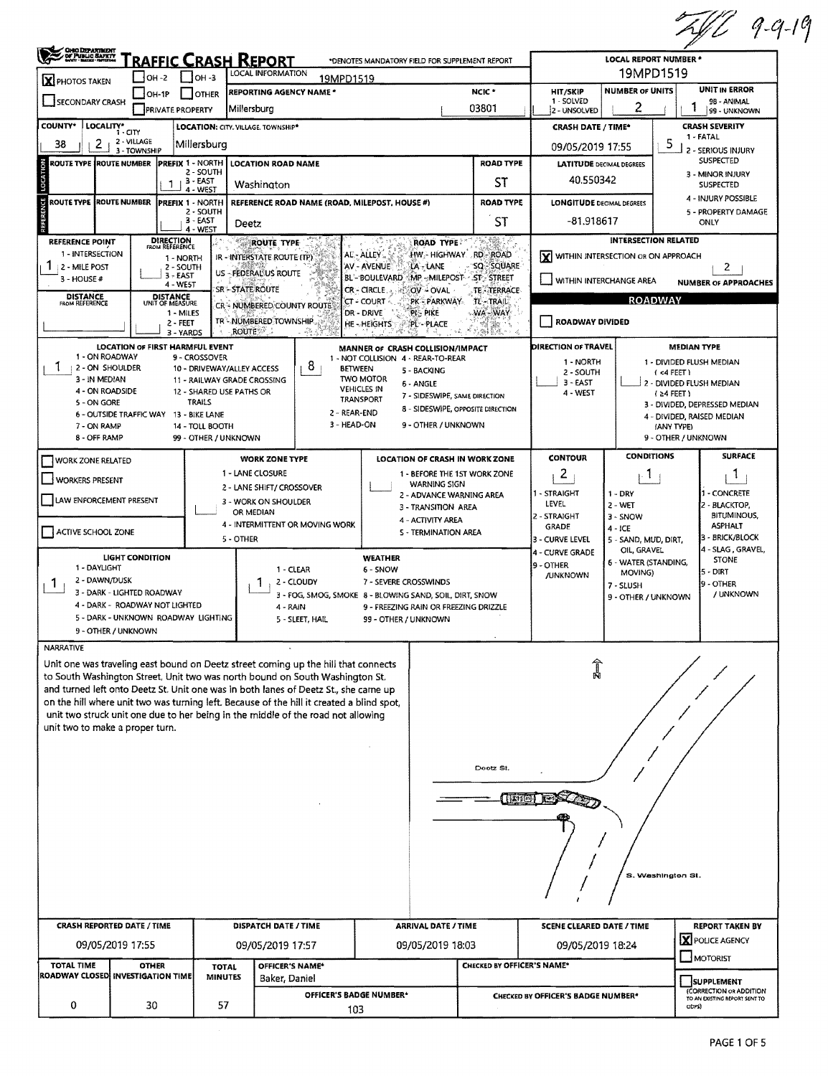|                                                                                                                                                                                                        |                                                              |                                                 |                                             |                                                |                                                                                                                                                                               |                                    |                                           |                                    |                                                     |                                     |                   | 2419                                                     |  |  |  |
|--------------------------------------------------------------------------------------------------------------------------------------------------------------------------------------------------------|--------------------------------------------------------------|-------------------------------------------------|---------------------------------------------|------------------------------------------------|-------------------------------------------------------------------------------------------------------------------------------------------------------------------------------|------------------------------------|-------------------------------------------|------------------------------------|-----------------------------------------------------|-------------------------------------|-------------------|----------------------------------------------------------|--|--|--|
| Construction                                                                                                                                                                                           |                                                              |                                                 | <u> "raffic Crash Report</u>                | *DENOTES MANDATORY FIELD FOR SUPPLEMENT REPORT | <b>LOCAL REPORT NUMBER *</b>                                                                                                                                                  |                                    |                                           |                                    |                                                     |                                     |                   |                                                          |  |  |  |
| X PHOTOS TAKEN                                                                                                                                                                                         |                                                              | $ OH - 2 $                                      | $IOH - 3$                                   |                                                | LOCAL INFORMATION<br>19MPD1519                                                                                                                                                |                                    |                                           |                                    |                                                     |                                     | 19MPD1519         |                                                          |  |  |  |
| SECONDARY CRASH                                                                                                                                                                                        |                                                              | $IOH-1P$                                        | I IOTHER                                    |                                                | <b>REPORTING AGENCY NAME *</b>                                                                                                                                                |                                    |                                           | NCIC <sup>*</sup><br>03801         | <b>HIT/SKIP</b><br>1 - SOLVED                       | <b>NUMBER OF UNITS</b><br>2         |                   | UNIT IN ERROR<br>98 - ANIMAL                             |  |  |  |
|                                                                                                                                                                                                        |                                                              | <b>PRIVATE PROPERTY</b>                         | LOCATION: CITY, VILLAGE, TOWNSHIP*          | Millersburg                                    |                                                                                                                                                                               |                                    |                                           |                                    | 2 - UNSOLVED<br><b>CRASH DATE / TIME*</b>           |                                     |                   | 99 - UNKNOWN<br><b>CRASH SEVERITY</b>                    |  |  |  |
| COUNTY* LOCALITY*<br>2<br>38                                                                                                                                                                           | 2 - VILLAGE                                                  |                                                 | Millersbura                                 |                                                |                                                                                                                                                                               |                                    |                                           |                                    |                                                     |                                     | 5                 | 1 - FATAL                                                |  |  |  |
| ROUTE TYPE IROUTE NUMBER                                                                                                                                                                               | 3 - TOWNSHIP                                                 | <b>PREFIX 1 - NORTH</b>                         |                                             |                                                | <b>LOCATION ROAD NAME</b>                                                                                                                                                     |                                    |                                           | <b>ROAD TYPE</b>                   | 09/05/2019 17:55<br><b>LATITUDE DECIMAL DEGREES</b> |                                     |                   | 2 - SERIOUS INJURY<br>SUSPECTED                          |  |  |  |
| LOCATION<br>2 - SOUTH<br>$1 + 3 - EAST$<br>Washington<br>4 - WEST<br>REFERENCE<br><b>ROUTE TYPE</b><br><b>ROUTE NUMBER</b><br><b>PREFIX 1 - NORTH</b><br>REFERENCE ROAD NAME (ROAD, MILEPOST, HOUSE #) |                                                              |                                                 |                                             |                                                |                                                                                                                                                                               |                                    |                                           | ST                                 | 40.550342                                           |                                     |                   | 3 - MINOR INJURY                                         |  |  |  |
|                                                                                                                                                                                                        |                                                              |                                                 |                                             |                                                |                                                                                                                                                                               |                                    |                                           | <b>ROAD TYPE</b>                   | <b>LONGITUDE DECIMAL DEGREES</b>                    |                                     |                   | <b>SUSPECTED</b><br>4 - INJURY POSSIBLE                  |  |  |  |
|                                                                                                                                                                                                        |                                                              |                                                 | 2 - SOUTH<br>3 - EAST                       |                                                |                                                                                                                                                                               |                                    |                                           | ST                                 | -81.918617                                          |                                     |                   | 5 - PROPERTY DAMAGE<br>ONLY                              |  |  |  |
|                                                                                                                                                                                                        |                                                              |                                                 | 4 - WEST                                    | Deetz                                          |                                                                                                                                                                               |                                    |                                           |                                    |                                                     | <b>INTERSECTION RELATED</b>         |                   |                                                          |  |  |  |
| REFERENCE POINT<br>1 - INTERSECTION                                                                                                                                                                    |                                                              | <b>DIRECTION</b><br>FROM REFERENCE<br>1 - NORTH |                                             |                                                | ROUTE TYPE<br><b>IR - INTERSTATE ROUTE (TP)</b>                                                                                                                               | AL - ALLEY                         | <b>ROAD TYPE:</b>                         | HW HIGHWAY RD-ROAD                 | <b>X</b> WITHIN INTERSECTION OR ON APPROACH         |                                     |                   |                                                          |  |  |  |
| 1 2 - MILE POST<br>3 - HOUSE #                                                                                                                                                                         |                                                              | 2 - SOUTH<br>$3 - EAST$                         |                                             |                                                | US - FEDERAL US ROUTE                                                                                                                                                         | AV AVENUE<br>BL-BOULEVARD          | LA - LANE                                 | SQ SQUARE<br>MP-MILEPOST ST-STREET |                                                     |                                     |                   | 2                                                        |  |  |  |
|                                                                                                                                                                                                        |                                                              | 4 - WE5T<br><b>DISTANCE</b>                     |                                             | SR'-STATE ROUTE                                |                                                                                                                                                                               | <b>CR-CIRCLE</b>                   | OV - OVAL                                 | TE TERRACE                         | WITHIN INTERCHANGE AREA                             |                                     |                   | <b>NUMBER OF APPROACHES</b>                              |  |  |  |
| <b>DISTANCE</b><br>FROM REFERENCE                                                                                                                                                                      |                                                              | UNIT OF MEASURE<br>1 - MILES                    |                                             |                                                | CR - NUMBERED COUNTY ROUTE                                                                                                                                                    | CT - COURT<br>DR - DRIVE           | PK - PARKWAY<br>PI - PIKE                 | <b>TL-TRAIL</b><br>WA-WAY          |                                                     |                                     | <b>ROADWAY</b>    |                                                          |  |  |  |
|                                                                                                                                                                                                        |                                                              | 2 - FEET<br>3 - YARDS                           |                                             | <b>ROUTE</b>                                   | TR - NUMBERED TOWNSHIP                                                                                                                                                        | HE-HEIGHTS                         | PL-PLACE                                  | 38.<br>化标准                         | ROADWAY DIVIDED                                     |                                     |                   |                                                          |  |  |  |
|                                                                                                                                                                                                        | <b>LOCATION OF FIRST HARMFUL EVENT</b>                       |                                                 |                                             |                                                |                                                                                                                                                                               | MANNER OF CRASH COLLISION/IMPACT   |                                           |                                    | DIRECTION OF TRAVEL                                 |                                     |                   | <b>MEDIAN TYPE</b>                                       |  |  |  |
| 1 - ON ROADWAY<br>  2 - ON SHOULDER                                                                                                                                                                    |                                                              |                                                 | 9 - CROSSOVER<br>10 - DRIVEWAY/ALLEY ACCESS |                                                | 8.<br><b>BETWEEN</b>                                                                                                                                                          | 1 - NOT COLLISION 4 - REAR-TO-REAR | 5 - BACKING                               |                                    | 1 - NORTH                                           |                                     |                   | 1 - DIVIDED FLUSH MEDIAN                                 |  |  |  |
| 3 - IN MEDIAN                                                                                                                                                                                          |                                                              |                                                 | 11 - RAILWAY GRADE CROSSING                 |                                                |                                                                                                                                                                               | <b>TWO MOTOR</b>                   | 6 - ANGLE                                 |                                    | 2 - SOUTH<br>$3 - EAST$                             |                                     |                   | (<4 FEET)<br>2 - DIVIDED FLUSH MEDIAN                    |  |  |  |
| 4 - ON ROADSIDE<br>5 - ON GORE                                                                                                                                                                         |                                                              |                                                 | 12 - SHARED USE PATHS OR<br><b>TRAILS</b>   |                                                |                                                                                                                                                                               | <b>VEHICLES IN</b><br>TRANSPORT    | 7 - SIDESWIPE, SAME DIRECTION             |                                    | 4 - WEST                                            |                                     | (24 FEET)         | 3 - DIVIDED, DEPRESSED MEDIAN                            |  |  |  |
|                                                                                                                                                                                                        | 6 - OUTSIDE TRAFFIC WAY 13 - BIKE LANE                       |                                                 |                                             |                                                | 2 - REAR-END                                                                                                                                                                  |                                    |                                           | 8 - SIDESWIPE, OPPOSITE DIRECTION  |                                                     |                                     |                   | 4 - DIVIDED, RAISED MEDIAN                               |  |  |  |
| 7 - ON RAMP<br>8 - OFF RAMP                                                                                                                                                                            |                                                              |                                                 | 14 - TOLL BOOTH<br>99 - OTHER / UNKNOWN     |                                                | 3 - HEAD-ON                                                                                                                                                                   |                                    | 9 - OTHER / UNKNOWN                       |                                    |                                                     |                                     | (ANY TYPE)        | 9 - OTHER / UNKNOWN                                      |  |  |  |
| <b>WORK ZONE RELATED</b>                                                                                                                                                                               |                                                              |                                                 |                                             |                                                | <b>WORK ZONE TYPE</b>                                                                                                                                                         |                                    |                                           | LOCATION OF CRASH IN WORK ZONE     | <b>CONTOUR</b>                                      | <b>CONDITIONS</b>                   |                   | <b>SURFACE</b>                                           |  |  |  |
| <b>WORKERS PRESENT</b>                                                                                                                                                                                 |                                                              |                                                 |                                             | 1 - LANE CLOSURE                               |                                                                                                                                                                               |                                    |                                           | 1 - BEFORE THE 1ST WORK ZONE       | 2                                                   | $\cdot$ 1 $\cdot$                   |                   | -1                                                       |  |  |  |
|                                                                                                                                                                                                        |                                                              |                                                 |                                             |                                                | 2 - LANE SHIFT/ CROSSOVER                                                                                                                                                     |                                    | WARNING SIGN<br>2 - ADVANCE WARNING AREA  |                                    | 1 - STRAIGHT                                        | $1 - DRY$                           |                   | - CONCRETE                                               |  |  |  |
| LAW ENFORCEMENT PRESENT                                                                                                                                                                                |                                                              |                                                 |                                             | OR MEDIAN                                      | 3 - WORK ON SHOULDER                                                                                                                                                          |                                    | 3 - TRANSITION AREA                       |                                    | LEVEL<br>2 - STRAIGHT                               | $2 - WET$                           |                   | 2 - BLACKTOP,<br><b>BITUMINOUS,</b>                      |  |  |  |
| ACTIVE SCHOOL ZONE                                                                                                                                                                                     |                                                              |                                                 |                                             |                                                | 4 - INTERMITTENT OR MOVING WORK                                                                                                                                               |                                    | 4 - ACTIVITY AREA<br>S - TERMINATION AREA |                                    | <b>GRADE</b>                                        | 3 - SNOW<br>4 - ICE                 |                   | <b>ASPHALT</b>                                           |  |  |  |
|                                                                                                                                                                                                        |                                                              |                                                 |                                             | 5 - OTHER                                      |                                                                                                                                                                               |                                    |                                           |                                    | 3 - CURVE LEVEL<br>4 - CURVE GRADE                  | 5 - SAND, MUD, DIRT,<br>OIL, GRAVEL |                   | 3 - BRICK/BLOCK<br>4 - SLAG, GRAVEL,                     |  |  |  |
| 1 - DAYLIGHT                                                                                                                                                                                           | <b>LIGHT CONDITION</b>                                       |                                                 |                                             |                                                | 1 - CLEAR                                                                                                                                                                     | WEATHER<br>6 - SNOW                |                                           |                                    | 9 - OTHER                                           | 6 - WATER (STANDING,                |                   | <b>STONE</b>                                             |  |  |  |
| 2 - DAWN/DUSK<br>Ŧ                                                                                                                                                                                     |                                                              |                                                 |                                             |                                                | 2 - CLOUDY                                                                                                                                                                    | 7 - SEVERE CROSSWINDS              |                                           |                                    | <b>JUNKNOWN</b>                                     | MOVING)<br>7 - SLUSH                |                   | 5 - DIRT<br>9 - OTHER                                    |  |  |  |
|                                                                                                                                                                                                        | 3 - DARK - LIGHTED ROADWAY<br>4 - DARK - ROADWAY NOT LIGHTED |                                                 |                                             |                                                | 3 - FOG, SMOG, SMOKE 8 - BLOWING SAND, SOIL, DIRT, SNOW                                                                                                                       |                                    |                                           |                                    |                                                     | 9 - OTHER / UNKNOWN                 |                   | / UNKNOWN                                                |  |  |  |
|                                                                                                                                                                                                        | 5 - DARK - UNKNOWN ROADWAY LIGHTING                          |                                                 |                                             |                                                | 4 - RAIN<br>5 - SLEET, HAIL                                                                                                                                                   | 99 - OTHER / UNKNOWN               | 9 - FREEZING RAIN OR FREEZING DRIZZLE     |                                    |                                                     |                                     |                   |                                                          |  |  |  |
|                                                                                                                                                                                                        | 9 - OTHER / UNKNOWN                                          |                                                 |                                             |                                                |                                                                                                                                                                               |                                    |                                           |                                    |                                                     |                                     |                   |                                                          |  |  |  |
| <b>NARRATIVE</b>                                                                                                                                                                                       |                                                              |                                                 |                                             |                                                |                                                                                                                                                                               |                                    |                                           |                                    |                                                     |                                     |                   |                                                          |  |  |  |
|                                                                                                                                                                                                        |                                                              |                                                 |                                             |                                                | Unit one was traveling east bound on Deetz street coming up the hill that connects<br>to South Washington Street. Unit two was north bound on South Washington St.            |                                    |                                           |                                    |                                                     |                                     |                   |                                                          |  |  |  |
|                                                                                                                                                                                                        |                                                              |                                                 |                                             |                                                | and turned left onto Deetz St. Unit one was in both lanes of Deetz St., she came up                                                                                           |                                    |                                           |                                    |                                                     |                                     |                   |                                                          |  |  |  |
|                                                                                                                                                                                                        |                                                              |                                                 |                                             |                                                | on the hill where unit two was turning left. Because of the hill it created a blind spot,<br>unit two struck unit one due to her being in the middle of the road not allowing |                                    |                                           |                                    |                                                     |                                     |                   |                                                          |  |  |  |
| unit two to make a proper turn.                                                                                                                                                                        |                                                              |                                                 |                                             |                                                |                                                                                                                                                                               |                                    |                                           |                                    |                                                     |                                     |                   |                                                          |  |  |  |
|                                                                                                                                                                                                        |                                                              |                                                 |                                             |                                                |                                                                                                                                                                               |                                    |                                           |                                    |                                                     |                                     |                   |                                                          |  |  |  |
|                                                                                                                                                                                                        |                                                              |                                                 |                                             |                                                |                                                                                                                                                                               |                                    |                                           | Dootz St.                          |                                                     |                                     |                   |                                                          |  |  |  |
|                                                                                                                                                                                                        |                                                              |                                                 |                                             |                                                |                                                                                                                                                                               |                                    |                                           |                                    |                                                     |                                     |                   |                                                          |  |  |  |
|                                                                                                                                                                                                        |                                                              |                                                 |                                             |                                                |                                                                                                                                                                               |                                    |                                           | (1110)                             |                                                     |                                     |                   |                                                          |  |  |  |
|                                                                                                                                                                                                        |                                                              |                                                 |                                             |                                                |                                                                                                                                                                               |                                    |                                           |                                    |                                                     |                                     |                   |                                                          |  |  |  |
|                                                                                                                                                                                                        |                                                              |                                                 |                                             |                                                |                                                                                                                                                                               |                                    |                                           |                                    |                                                     |                                     |                   |                                                          |  |  |  |
|                                                                                                                                                                                                        |                                                              |                                                 |                                             |                                                |                                                                                                                                                                               |                                    |                                           |                                    |                                                     |                                     |                   |                                                          |  |  |  |
|                                                                                                                                                                                                        |                                                              |                                                 |                                             |                                                |                                                                                                                                                                               |                                    |                                           |                                    |                                                     |                                     | S. Washington St. |                                                          |  |  |  |
|                                                                                                                                                                                                        |                                                              |                                                 |                                             |                                                |                                                                                                                                                                               |                                    |                                           |                                    |                                                     |                                     |                   |                                                          |  |  |  |
|                                                                                                                                                                                                        |                                                              |                                                 |                                             |                                                |                                                                                                                                                                               |                                    |                                           |                                    |                                                     |                                     |                   |                                                          |  |  |  |
| <b>CRASH REPORTED DATE / TIME</b>                                                                                                                                                                      |                                                              |                                                 |                                             |                                                | <b>DISPATCH DATE / TIME</b>                                                                                                                                                   |                                    | <b>ARRIVAL DATE / TIME</b>                |                                    | <b>SCENE CLEARED DATE / TIME</b>                    |                                     |                   | <b>REPORT TAKEN BY</b>                                   |  |  |  |
|                                                                                                                                                                                                        | 09/05/2019 17:55                                             |                                                 |                                             |                                                | 09/05/2019 17:57                                                                                                                                                              |                                    | 09/05/2019 18:03                          |                                    | 09/05/2019 18:24                                    |                                     |                   | X POLICE AGENCY                                          |  |  |  |
| <b>TOTAL TIME</b>                                                                                                                                                                                      | <b>OTHER</b>                                                 |                                                 | <b>TOTAL</b>                                |                                                | OFFICER'S NAME*                                                                                                                                                               |                                    |                                           | CHECKED BY OFFICER'S NAME*         |                                                     |                                     |                   | MOTORIST                                                 |  |  |  |
| ROADWAY CLOSED INVESTIGATION TIME                                                                                                                                                                      |                                                              |                                                 | <b>MINUTES</b>                              |                                                | Baker, Daniel                                                                                                                                                                 |                                    |                                           |                                    |                                                     |                                     |                   | <b>SUPPLEMENT</b>                                        |  |  |  |
|                                                                                                                                                                                                        |                                                              |                                                 |                                             |                                                | OFFICER'S BADGE NUMBER*                                                                                                                                                       |                                    |                                           |                                    | CHECKED BY OFFICER'S BADGE NUMBER*                  |                                     |                   | (CORRECTION OR ADDITION<br>TO AN EXISTING REPORT SENT TO |  |  |  |
| 0<br>30<br>57<br>103                                                                                                                                                                                   |                                                              |                                                 |                                             |                                                |                                                                                                                                                                               |                                    |                                           |                                    |                                                     |                                     |                   | ODPS)                                                    |  |  |  |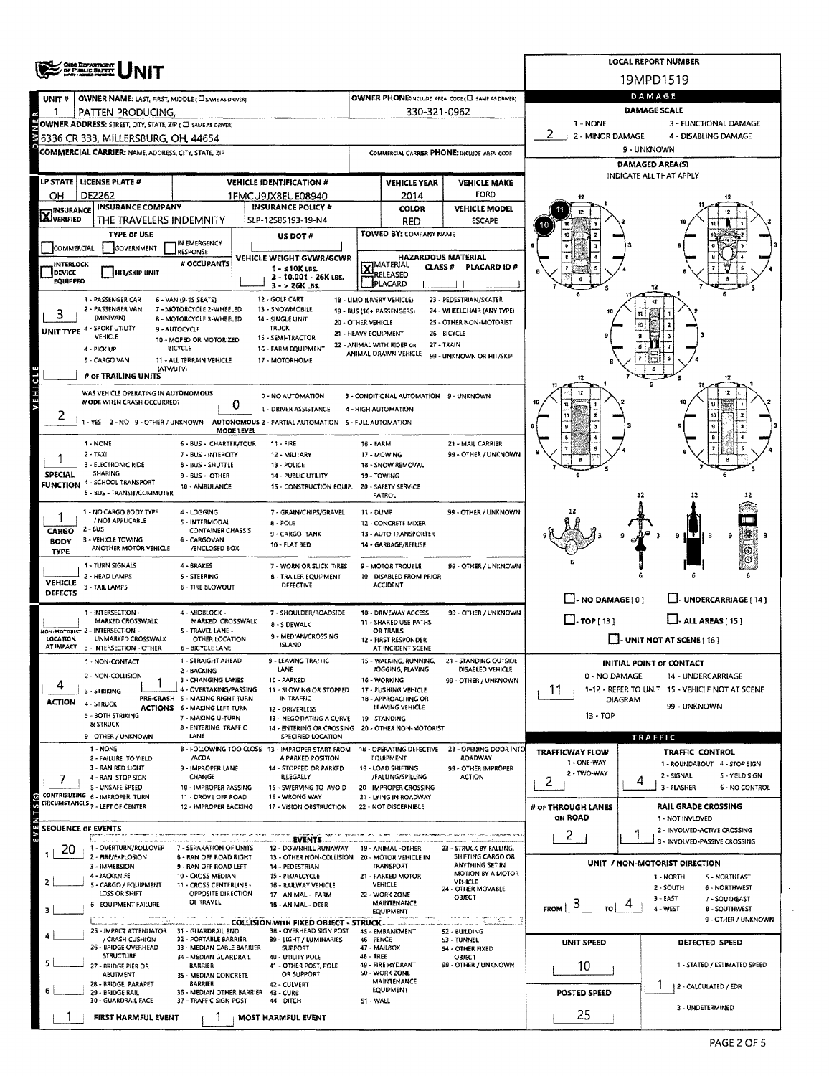|                                   | OHO DEPARTMENT                                                                                                                                                                            |                                                                        | <b>LOCAL REPORT NUMBER</b> |                                                                       |                                                   |                                                         |                                                      |                                                                        |                                                                    |  |  |  |  |  |
|-----------------------------------|-------------------------------------------------------------------------------------------------------------------------------------------------------------------------------------------|------------------------------------------------------------------------|----------------------------|-----------------------------------------------------------------------|---------------------------------------------------|---------------------------------------------------------|------------------------------------------------------|------------------------------------------------------------------------|--------------------------------------------------------------------|--|--|--|--|--|
|                                   |                                                                                                                                                                                           |                                                                        |                            |                                                                       |                                                   |                                                         |                                                      |                                                                        | 19MPD1519                                                          |  |  |  |  |  |
| UNIT#                             | <b>OWNER NAME: LAST, FIRST, MIDDLE ( SAME AS ORIVER)</b>                                                                                                                                  |                                                                        | DAMAGE                     |                                                                       |                                                   |                                                         |                                                      |                                                                        |                                                                    |  |  |  |  |  |
|                                   | PATTEN PRODUCING.                                                                                                                                                                         |                                                                        | <b>DAMAGE SCALE</b>        |                                                                       |                                                   |                                                         |                                                      |                                                                        |                                                                    |  |  |  |  |  |
|                                   | 1 - NONE<br>3 - FUNCTIONAL DAMAGE<br>OWNER ADDRESS: STREET, CITY, STATE, ZIP ( C) SAME AS DRIVER)<br>2<br>2 - MINOR DAMAGE<br>4 - DISABLING DAMAGE<br>6336 CR 333, MILLERSBURG, OH, 44654 |                                                                        |                            |                                                                       |                                                   |                                                         |                                                      |                                                                        |                                                                    |  |  |  |  |  |
|                                   |                                                                                                                                                                                           |                                                                        |                            | 9 - UNKNOWN                                                           |                                                   |                                                         |                                                      |                                                                        |                                                                    |  |  |  |  |  |
|                                   | COMMERCIAL CARRIER: NAME, ADDRESS, CITY, STATE, ZIP                                                                                                                                       |                                                                        |                            |                                                                       | COMMERCIAL CARRIER PHONE: INCLUDE AREA CODE       |                                                         |                                                      | <b>DAMAGED AREA(S)</b>                                                 |                                                                    |  |  |  |  |  |
|                                   | LP STATE   LICENSE PLATE #                                                                                                                                                                |                                                                        |                            | <b>VEHICLE IDENTIFICATION #</b>                                       |                                                   | <b>VEHICLE YEAR</b>                                     | <b>VEHICLE MAKE</b>                                  |                                                                        | INDICATE ALL THAT APPLY                                            |  |  |  |  |  |
| OН                                | DE2262                                                                                                                                                                                    |                                                                        |                            | 1FMCU9JX8EUE08940                                                     |                                                   | 2014                                                    | <b>FORD</b>                                          |                                                                        |                                                                    |  |  |  |  |  |
| <b>X</b> INSURANCE                | <b>INSURANCE COMPANY</b>                                                                                                                                                                  |                                                                        |                            | <b>INSURANCE POLICY #</b>                                             |                                                   | <b>COLOR</b>                                            | <b>VEHICLE MODEL</b>                                 |                                                                        |                                                                    |  |  |  |  |  |
|                                   | THE TRAVELERS INDEMNITY                                                                                                                                                                   |                                                                        |                            | SLP-12585193-19-N4                                                    |                                                   | <b>RED</b>                                              | <b>ESCAPE</b>                                        |                                                                        |                                                                    |  |  |  |  |  |
|                                   | <b>TYPE OF USE</b><br><b><i>GOVERNMENT</i></b>                                                                                                                                            | IN EMERGENCY                                                           |                            | US DOT#                                                               | TOWED BY: COMPANY NAME                            |                                                         |                                                      |                                                                        |                                                                    |  |  |  |  |  |
| COMMERCIAL                        |                                                                                                                                                                                           | RESPONSE<br># OCCUPANTS                                                |                            | VEHICLE WEIGHT GVWR/GCWR                                              | <b>HAZARDOUS MATERIAL</b>                         |                                                         |                                                      |                                                                        |                                                                    |  |  |  |  |  |
| <b>INTERLOCK</b><br><b>DEVICE</b> | <b>HIT/SKIP UNIT</b>                                                                                                                                                                      |                                                                        |                            | $1 -$ s10K LBS.<br>2 - 10,001 - 26K LBS.                              | <b>X</b> MATERIAL<br><b>CLASS#</b><br>PLACARD ID# |                                                         |                                                      |                                                                        |                                                                    |  |  |  |  |  |
| <b>EQUIPPEO</b>                   |                                                                                                                                                                                           |                                                                        |                            | $3 - 26K$ LBS.                                                        |                                                   | PLACARD                                                 |                                                      |                                                                        |                                                                    |  |  |  |  |  |
|                                   | 1 - PASSENGER CAR<br>2 - PASSENGER VAN                                                                                                                                                    | 6 - VAN (9-1S SEATS)<br>7 - MOTORCYCLE 2-WHEELED                       |                            | 12 - GOLF CART<br>13 - SNOWMOBILE                                     |                                                   | 18 - LIMO (LIVERY VEHICLE)<br>19 - BUS (16+ PASSENGERS) | 23 - PEDESTRIAN/SKATER<br>24 - WHEELCHAIR (ANY TYPE) |                                                                        |                                                                    |  |  |  |  |  |
|                                   | (MINIVAN)                                                                                                                                                                                 | B - MOTORCYCLE 3-WHEELED<br>9 - AUTOCYCLE                              |                            | 14 - SINGLE UNIT<br><b>TRUCK</b>                                      | 20 - OTHER VEHICLE                                |                                                         | 25 - OTHER NON-MOTORIST                              |                                                                        | 10                                                                 |  |  |  |  |  |
|                                   | UNIT TYPE 3 - SPORT UTILITY<br>VEHICLE                                                                                                                                                    | 10 - MOPED OR MOTORIZED                                                |                            | 15 - SEMI-TRACTOR                                                     | 21 - HEAVY EQUIPMENT                              | 22 - ANIMAL WITH RIDER OR                               | 26 - BICYCLE<br>27 - TRAIN                           |                                                                        |                                                                    |  |  |  |  |  |
|                                   | 4 - PICK UP<br>5 - CARGO VAN                                                                                                                                                              | <b>BICYCLE</b><br>11 - ALL TERRAIN VEHICLE                             |                            | 16 - FARM EQUIPMENT<br>17 - MOTORHOME                                 |                                                   | ANIMAL-DRAWN VEHICLE                                    | 99 - UNKNOWN OR HIT/SKIP                             |                                                                        |                                                                    |  |  |  |  |  |
|                                   | (ATV/UTV)<br># OF TRAILING UNITS                                                                                                                                                          |                                                                        |                            |                                                                       |                                                   |                                                         |                                                      |                                                                        | 8                                                                  |  |  |  |  |  |
| VEHICL                            |                                                                                                                                                                                           |                                                                        |                            | 0 - NO AUTOMATION                                                     |                                                   | 3 - CONDITIONAL AUTOMATION 9 - UNKNOWN                  |                                                      |                                                                        |                                                                    |  |  |  |  |  |
|                                   | WAS VEHICLE OPERATING IN AUTONOMOUS<br>MODE WHEN CRASH OCCURRED?                                                                                                                          |                                                                        |                            |                                                                       |                                                   |                                                         |                                                      |                                                                        |                                                                    |  |  |  |  |  |
| ۷                                 | 1 - YES 2 - NO 9 - OTHER / UNKNOWN AUTONOMOUS 2 - PARTIAL AUTOMATION 5 - FULL AUTOMATION                                                                                                  |                                                                        | 0                          | 1 - DRIVER ASSISTANCE                                                 |                                                   | 4 - HIGH AUTOMATION                                     |                                                      |                                                                        |                                                                    |  |  |  |  |  |
|                                   |                                                                                                                                                                                           |                                                                        | MODE LEVEL                 |                                                                       |                                                   |                                                         |                                                      |                                                                        |                                                                    |  |  |  |  |  |
|                                   | 1 - NONE<br>$2 - TAY$                                                                                                                                                                     | 6 BUS - CHARTER/TOUR<br>7 - BUS - INTERCITY                            |                            | $11 - FIRE$<br>12 - MILITARY                                          | 16 - FARM                                         | 17 - MOWING                                             | 21 - MAIL CARRIER<br>99 - OTHER / UNKNOWN            |                                                                        |                                                                    |  |  |  |  |  |
|                                   | 3 - ELECTRONIC RIDE<br><b>8 - BUS - SHUTTLE</b><br>13 - POLICE                                                                                                                            |                                                                        |                            |                                                                       |                                                   |                                                         |                                                      |                                                                        |                                                                    |  |  |  |  |  |
| <b>SPECIAL</b>                    | <b>SHARING</b><br><b>FUNCTION 4 - SCHOOL TRANSPORT</b>                                                                                                                                    | 9 - BUS - OTHER<br>10 - AMBULANCE                                      |                            | 14 - PUBLIC UTILITY<br>1S - CONSTRUCTION EQUIP.                       |                                                   | 19 - TOWING<br>20 - SAFETY SERVICE                      |                                                      |                                                                        |                                                                    |  |  |  |  |  |
|                                   | 5 - BUS - TRANSIT/COMMUTER                                                                                                                                                                |                                                                        |                            |                                                                       |                                                   | <b>PATROL</b>                                           |                                                      |                                                                        | 12                                                                 |  |  |  |  |  |
|                                   | 1 - NO CARGO BODY TYPE                                                                                                                                                                    | 4 - LOGGING                                                            |                            | 7 - GRAIN/CHIPS/GRAVEL                                                | 11 - DUMP                                         |                                                         | 99 - OTHER / UNKNOWN                                 |                                                                        |                                                                    |  |  |  |  |  |
| CARGO                             | / NOT APPLICABLE<br>2 - BUS                                                                                                                                                               | 5 - INTERMODAL<br><b>CONTAINER CHASSIS</b>                             |                            | 8 - POLE<br>9 - CARGO TANK                                            |                                                   | 12 - CONCRETE MIXER<br>13 - AUTO TRANSPORTER            |                                                      |                                                                        | 9<br>3<br>9.                                                       |  |  |  |  |  |
| <b>BODY</b><br><b>TYPE</b>        | 3 - VEHICLE TOWING<br>ANOTHER MOTOR VEHICLE                                                                                                                                               | 6 - CARGOVAN<br>/ENCLOSED BOX                                          |                            | 10 - FLAT BED                                                         |                                                   | 14 - GARBAGE/REFUSE                                     |                                                      |                                                                        |                                                                    |  |  |  |  |  |
|                                   | 1 - TURN SIGNALS                                                                                                                                                                          | 4 - BRAKES                                                             |                            | 7 - WORN OR SLICK TIRES                                               |                                                   | 9 - MOTOR TROUBLE                                       | 99 - OTHER / UNKNOWN                                 |                                                                        |                                                                    |  |  |  |  |  |
| <b>VEHICLE</b>                    | 2 - HEAD LAMPS                                                                                                                                                                            | <b>S-STEERING</b>                                                      |                            | <b>6 - TRAILER EQUIPMENT</b>                                          |                                                   | 10 - DISABLED FROM PRIOR                                |                                                      |                                                                        |                                                                    |  |  |  |  |  |
| DEFECTS                           | 3 - TAIL LAMPS                                                                                                                                                                            | 6 - TIRE BLOWOUT                                                       |                            | DEFECTIVE                                                             |                                                   | <b>ACCIDENT</b>                                         |                                                      | $\Box$ - NO DAMAGE [ 0 ]                                               | UNDERCARRIAGE [ 14 ]                                               |  |  |  |  |  |
|                                   | 1 - INTERSECTION -                                                                                                                                                                        | 4 - MIDBLOCK -                                                         |                            | 7 - SHOULDER/ROADSIDE                                                 |                                                   | 10 - DRIVEWAY ACCESS                                    | 99 - OTHER / UNKNOWN                                 |                                                                        |                                                                    |  |  |  |  |  |
|                                   | MARKED CROSSWALK<br><b>JON-MOTORIST 2 - INTERSECTION -</b>                                                                                                                                | MARKED CROSSWALK<br>5 - TRAVEL LANE -                                  |                            | 8 - SIDEWALK                                                          |                                                   | 11 - SHARED USE PATHS<br>OR TRAILS                      |                                                      | $\Box$ -TOP [13]                                                       | $L$ -ALL AREAS [15]                                                |  |  |  |  |  |
| <b>LOCATION</b>                   | <b>UNMARKED CROSSWALK</b><br>AT IMPACT 3 - INTERSECTION - OTHER                                                                                                                           | OTHER LOCATION<br>6 - BICYCLE LANE                                     |                            | 9 - MEDIAN/CROSSING<br><b>ISLAND</b>                                  |                                                   | 12 - FIRST RESPONDER<br>AT INCIDENT SCENE               |                                                      |                                                                        | $\Box$ - UNIT NOT AT SCENE [ 16 ]                                  |  |  |  |  |  |
|                                   | 1 - NON-CONTACT                                                                                                                                                                           | 1 - STRAIGHT AHEAD                                                     |                            | 9 - LEAVING TRAFFIC                                                   |                                                   |                                                         | 15 - WALKING, RUNNING. 21 - STANDING OUTSIDE         |                                                                        | <b>INITIAL POINT OF CONTACT</b>                                    |  |  |  |  |  |
|                                   | 2 - NON-COLLISION                                                                                                                                                                         | 2 - BACKING<br>3 - CHANGING LANES                                      |                            | LANE<br>10 - PARKED                                                   |                                                   | JOGGING, PLAYING<br>16 - WORKING                        | DISABLED VEHICLE<br>99 - OTHER / UNKNOWN             | 0 - NO DAMAGE                                                          | 14 - UNDERCARRIAGE                                                 |  |  |  |  |  |
| 4                                 | 3 - STRIKING                                                                                                                                                                              | 4 - OVERTAKING/PASSING                                                 |                            | 11 - SLOWING OR STOPPED<br>IN TRAFFIC                                 |                                                   | 17 - PUSHING VEHICLE                                    |                                                      | 1-12 - REFER TO UNIT 15 - VEHICLE NOT AT SCENE<br>11<br><b>DIAGRAM</b> |                                                                    |  |  |  |  |  |
| ACTION                            | 4 - STRUCK                                                                                                                                                                                | PRE-CRASH 5 - MAKING RIGHT TURN<br><b>ACTIONS 6 - MAKING LEFT TURN</b> |                            | 12 - DRIVERLESS                                                       |                                                   | 18 - APPROACHING OR<br>LEAVING VEHICLE                  |                                                      |                                                                        | 99 - UNKNOWN                                                       |  |  |  |  |  |
|                                   | 5 - BOTH STRIKING<br>& STRUCK                                                                                                                                                             | 7 - MAKING U-TURN<br>8 - ENTERING TRAFFIC                              |                            | 13 - NEGOTIATING A CURVE<br>14 - ENTERING OR CROSSING                 |                                                   | 19 - STANDING<br>20 - OTHER NON-MOTORIST                |                                                      | 13 - TOP                                                               |                                                                    |  |  |  |  |  |
|                                   | 9 - OTHER / UNKNOWN                                                                                                                                                                       | LANE                                                                   |                            | SPECIFIED LOCATION                                                    |                                                   |                                                         |                                                      | TRAFFIC                                                                |                                                                    |  |  |  |  |  |
|                                   | 1 - NONE<br>2 - FAILURE TO YIELD                                                                                                                                                          | /ACDA                                                                  |                            | 8 - FOLLOWING TOO CLOSE 13 - IMPROPER START FROM<br>A PARKED POSITION |                                                   | 18 - OPERATING DEFECTIVE<br><b>EQUIPMENT</b>            | 23 - OPENING DOOR INTO<br><b>ROADWAY</b>             | <b>TRAFFICWAY FLOW</b><br>1 - ONE-WAY                                  | <b>TRAFFIC CONTROL</b>                                             |  |  |  |  |  |
|                                   | 3 - RAN RED LIGHT<br>4 - RAN STOP SIGN                                                                                                                                                    | 9 - IMPROPER LANE<br><b>CHANGE</b>                                     |                            | 14 - STOPPED OR PARKED<br><b>ILLEGALLY</b>                            |                                                   | 19 - LOAD SHIFTING<br>/FALLING/SPILLING                 | 99 - OTHER IMPROPER<br>ACTION                        | 2 - TWO-WAY                                                            | 1 - ROUNDABOUT 4 - STOP SIGN<br>2 - SIGNAL<br>5 - YIELD SIGN       |  |  |  |  |  |
|                                   | S - UNSAFE SPEED<br>CONTRIBUTING 6 - IMPROPER TURN                                                                                                                                        | 10 - IMPROPER PASSING                                                  |                            | 15 - SWERVING TO AVOID                                                |                                                   | 20 - IMPROPER CROSSING                                  |                                                      | 2                                                                      | 4<br>3 - FLASHER<br>6 - NO CONTROL                                 |  |  |  |  |  |
| TES <sub>(S)</sub>                | CIRCUMSTANCES <sub>7</sub> - LEFT OF CENTER                                                                                                                                               | 11 - DROVE OFF ROAD<br>12 - IMPROPER BACKING                           |                            | 16 - WRONG WAY<br>17 - VISION OBSTRUCTION                             |                                                   | 21 - LYING IN ROADWAY<br>22 - NOT DISCERNIBLE           |                                                      | # or THROUGH LANES                                                     | RAIL GRADE CROSSING                                                |  |  |  |  |  |
| <b>SEQUENCE OF EVENTS</b>         |                                                                                                                                                                                           |                                                                        |                            |                                                                       |                                                   |                                                         |                                                      | ON ROAD                                                                | 1 - NOT INVLOVED                                                   |  |  |  |  |  |
| EVEN                              |                                                                                                                                                                                           |                                                                        |                            | . EVENTS .                                                            |                                                   |                                                         |                                                      | $\mathbf{z}$                                                           | 2 - INVOLVED-ACTIVE CROSSING<br>1<br>3 - INVOLVED-PASSIVE CROSSING |  |  |  |  |  |
| 20                                | 1 - OVERTURN/ROLLOVER<br>2 - FIRE/EXPLOSION                                                                                                                                               | 7 - SEPARATION OF UNITS<br><b>8 - RAN OFF ROAD RIGHT</b>               |                            | 12 - DOWNHILL RUNAWAY<br>13 - OTHER NON-COLLISION                     |                                                   | 19 - ANIMAL -OTHER<br>20 - MOTOR VEHICLE IN             | 23 - STRUCK BY FALLING,<br>SHIFTING CARGO OR         |                                                                        |                                                                    |  |  |  |  |  |
|                                   | 3 - IMMERSION<br>4 - JACKKNIFE                                                                                                                                                            | 9 - RAN OFF ROAD LEFT<br>10 - CROSS MEDIAN                             |                            | 14 - PEDESTRIAN<br>15 - PEDALCYCLE                                    |                                                   | TRANSPORT<br>21 - PARKED MOTOR                          | ANYTHING SET IN<br><b>MOTION BY A MOTOR</b>          |                                                                        | UNIT / NON-MOTORIST DIRECTION                                      |  |  |  |  |  |
| 2                                 | 5 - CARGO / EQUIPMENT                                                                                                                                                                     | 11 - CROSS CENTERLINE -                                                |                            | 16 - RAILWAY VEHICLE                                                  |                                                   | VEHICLE                                                 | VEHICLE<br>24 - OTHER MOVABLE                        |                                                                        | 1 - NORTH<br>5 - NORTHEAST<br>2 - SOUTH<br>6 - NORTHWEST           |  |  |  |  |  |
|                                   | LOSS OR SHIFT<br>6 - EQUIPMENT FAILURE                                                                                                                                                    | OPPOSITE DIRECTION<br>OF TRAVEL                                        |                            | 17 - ANIMAL - FARM<br>16 - ANIMAL - DEER                              |                                                   | 22 - WORK ZONE<br><b>MAINTENANCE</b>                    | OBJECT                                               | э<br>FROM  <br>τoΙ                                                     | $3 - EAST$<br>7 - SOUTHEAST                                        |  |  |  |  |  |
| з                                 | create comes or in commerce personalists securities on the                                                                                                                                |                                                                        |                            |                                                                       |                                                   | EQUIPMENT                                               |                                                      |                                                                        | 4 - WEST<br><b>8 - SOUTHWEST</b><br>9 - OTHER / UNKNOWN            |  |  |  |  |  |
|                                   | 25 - IMPACT ATTENUATOR 31 - GUARDRAIL END<br>/ CRASH CUSHION                                                                                                                              | 32 - PORTABLE BARRIER                                                  |                            | 38 - OVERHEAD SIGN POST<br>39 - LIGHT / LUMINARIES                    | 46 - FENCE                                        | 4S - EMBANKMENT                                         | 52 - BUILDING<br>S3 - TUNNEL                         |                                                                        |                                                                    |  |  |  |  |  |
|                                   | 26 - BRIDGE OVERHEAD                                                                                                                                                                      | 33 - MEDIAN CABLE BARRIER                                              |                            | <b>SUPPORT</b>                                                        |                                                   | 47 MAILBOX                                              | 54 - OTHER FIXED                                     | <b>UNIT SPEED</b>                                                      | DETECTED SPEED                                                     |  |  |  |  |  |
|                                   | <b>STRUCTURE</b><br>27 - BRIDGE PIER OR                                                                                                                                                   | 34 - MEDIAN GUARDRAIL<br><b>BARRIER</b>                                |                            | 40 - UTILITY POLE<br>41 - OTHER POST, POLE                            | 48 - TREE                                         | 49 - FIRE HYDRANT                                       | OBJECT<br>99 - OTHER / UNKNOWN                       | 10                                                                     | 1 - STATED / ESTIMATED SPEED                                       |  |  |  |  |  |
|                                   | ABUTMENT<br>28 - BRIDGE PARAPET                                                                                                                                                           | 35 - MÉDIAN CONCRETE<br><b>BARRIER</b>                                 |                            | OR SUPPORT<br>42 - CULVERT                                            |                                                   | <b>SO - WORK ZONE</b><br>MAINTENANCE                    |                                                      |                                                                        | 2 - CALCULATED / EDR                                               |  |  |  |  |  |
|                                   | 29 - BRIDGE RAIL<br>30 - GUARDRAIL FACE                                                                                                                                                   | 36 - MEDIAN OTHER BARRIER 43 - CURB<br>37 - TRAFFIC SIGN POST          |                            | 44 - DITCH                                                            | 51 - WALL                                         | EQUIPMENT                                               |                                                      | POSTED SPEED                                                           |                                                                    |  |  |  |  |  |
|                                   | FIRST HARMFUL EVENT                                                                                                                                                                       |                                                                        |                            | 3 - UNDETERMINED<br>25                                                |                                                   |                                                         |                                                      |                                                                        |                                                                    |  |  |  |  |  |
|                                   |                                                                                                                                                                                           |                                                                        |                            | <b>MOST HARMFUL EVENT</b>                                             |                                                   |                                                         |                                                      |                                                                        |                                                                    |  |  |  |  |  |

 $\mathcal{L}_{\mathcal{A}}$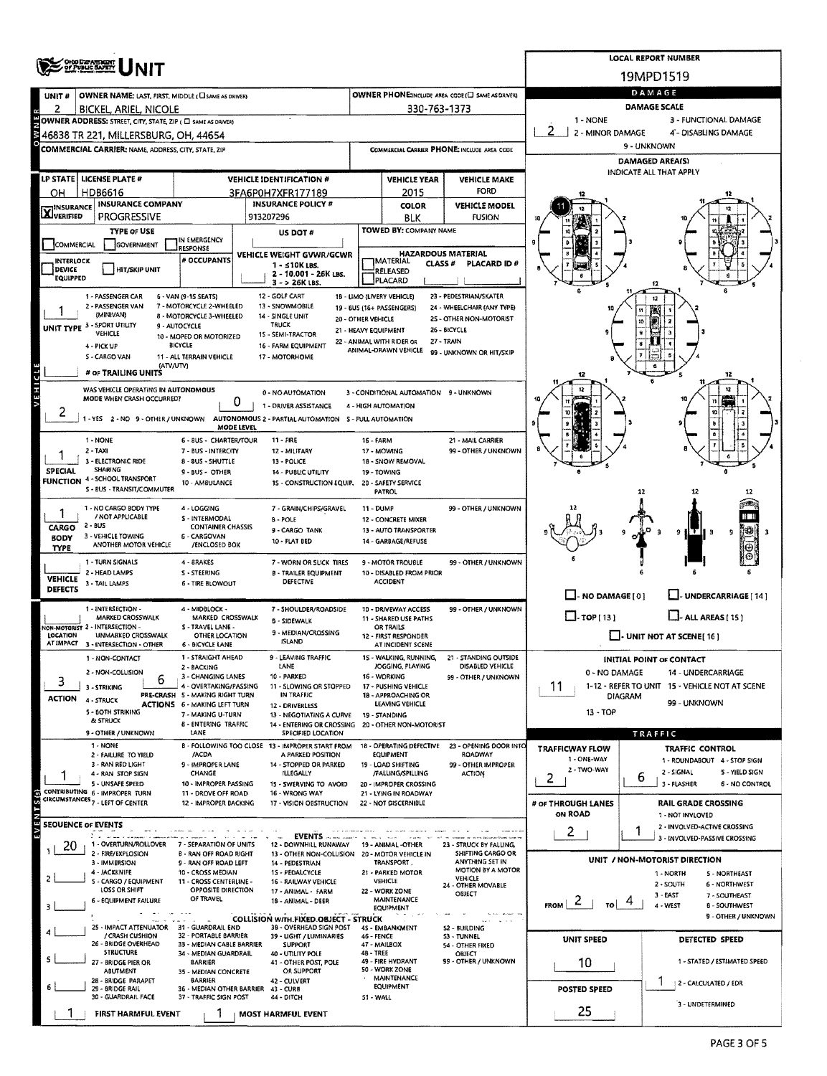|                                  |                                                                                     |                                                           | <b>LOCAL REPORT NUMBER</b>                                                               |                                                   |                                                               |                                              |                                                   |                                                                    |  |  |  |  |  |  |
|----------------------------------|-------------------------------------------------------------------------------------|-----------------------------------------------------------|------------------------------------------------------------------------------------------|---------------------------------------------------|---------------------------------------------------------------|----------------------------------------------|---------------------------------------------------|--------------------------------------------------------------------|--|--|--|--|--|--|
|                                  | ONO DZFARTARTY<br>OF PUBLIC SAFETY                                                  |                                                           | 19MPD1519                                                                                |                                                   |                                                               |                                              |                                                   |                                                                    |  |  |  |  |  |  |
|                                  |                                                                                     |                                                           |                                                                                          | OWNER PHONE:INCLUDE AREA CODE (C) SAME AS DRIVER) | DAMAGE                                                        |                                              |                                                   |                                                                    |  |  |  |  |  |  |
| UNIT #<br>2                      | <b>OWNER NAME: LAST, FIRST, MIDDLE (CI SAME AS DRIVER)</b><br>BICKEL, ARIEL, NICOLE |                                                           |                                                                                          |                                                   | 330-763-1373                                                  |                                              | <b>DAMAGE SCALE</b>                               |                                                                    |  |  |  |  |  |  |
|                                  | OWNER ADDRESS: STREET, CITY, STATE, ZIP ( C) SAME AS DRIVERY                        |                                                           |                                                                                          |                                                   |                                                               |                                              | 1 - NONE<br>3 - FUNCTIONAL DAMAGE                 |                                                                    |  |  |  |  |  |  |
| š                                | 46838 TR 221, MILLERSBURG, OH, 44654                                                |                                                           |                                                                                          |                                                   |                                                               |                                              | 2 - MINOR DAMAGE                                  | 4'- DISABLING DAMAGE                                               |  |  |  |  |  |  |
|                                  | COMMERCIAL CARRIER: NAME, ADDRESS, CITY, STATE, ZIP                                 |                                                           |                                                                                          | COMMERCIAL CARRIER PHONE: INCLUDE AREA CODE       |                                                               |                                              | 9 - UNKNOWN                                       |                                                                    |  |  |  |  |  |  |
|                                  |                                                                                     |                                                           |                                                                                          |                                                   |                                                               |                                              | <b>DAMAGED AREA(S)</b><br>INDICATE ALL THAT APPLY |                                                                    |  |  |  |  |  |  |
|                                  | LP STATE LICENSE PLATE #                                                            |                                                           | <b>VEHICLE IDENTIFICATION #</b>                                                          |                                                   | <b>VEHICLE YEAR</b>                                           | <b>VEHICLE MAKE</b>                          |                                                   |                                                                    |  |  |  |  |  |  |
| OН                               | HDB6616                                                                             |                                                           | 3FA6P0H7XFR177189                                                                        |                                                   | 2015                                                          | <b>FORD</b>                                  |                                                   |                                                                    |  |  |  |  |  |  |
| <b>X</b> INSURANCE               | <b>INSURANCE COMPANY</b><br><b>PROGRESSIVE</b>                                      |                                                           | <b>INSURANCE POLICY #</b><br>913207296                                                   |                                                   | <b>COLOR</b><br><b>BLK</b>                                    | <b>VEHICLE MODEL</b><br><b>FUSION</b>        |                                                   |                                                                    |  |  |  |  |  |  |
|                                  | <b>TYPE OF USE</b>                                                                  |                                                           | US DOT #                                                                                 |                                                   | TOWED BY: COMPANY NAME                                        |                                              |                                                   |                                                                    |  |  |  |  |  |  |
| COMMERCIAL                       | GOVERNMENT                                                                          | IN EMERGENCY<br><b>RESPONSE</b>                           |                                                                                          |                                                   |                                                               |                                              |                                                   |                                                                    |  |  |  |  |  |  |
| <b>INTERLOCK</b>                 |                                                                                     | # OCCUPANTS                                               | VEHICLE WEIGHT GVWR/GCWR<br>$1 - 510K$ LBS.                                              |                                                   | <b>HAZARDOUS MATERIAL</b><br><b>IMATERIAL</b><br>CLASS #      | PLACARD ID#                                  |                                                   |                                                                    |  |  |  |  |  |  |
| DEVICE<br><b>EQUIPPED</b>        | <b>HIT/SKIP UNIT</b>                                                                |                                                           | 2 - 10.001 - 26K LBS.                                                                    |                                                   | RELEASED<br>PLACARD                                           |                                              |                                                   |                                                                    |  |  |  |  |  |  |
|                                  | 1 - PASSENGER CAR                                                                   | 6 - VAN (9-15 SEATS)                                      | 3 - > 26K LBS.<br>12 - GOLF CART                                                         |                                                   | 18 - LIMO (LIVERY VEHICLE)                                    | 23 - PEDESTRIAN/SKATER                       |                                                   |                                                                    |  |  |  |  |  |  |
|                                  | 2 - PASSENGER VAN                                                                   | 7 - MOTORCYCLE 2-WHEELED                                  | 13 - SNOWMOBILE                                                                          |                                                   | 19 - BUS (16+ PASSENGERS)                                     | 24 - WHEELCHAIR (ANY TYPE)                   |                                                   |                                                                    |  |  |  |  |  |  |
| UNIT TYPE <sup>3</sup>           | (MINIVAN)<br>- SPORT UTILITY                                                        | <b>8 - MOTORCYCLE 3-WHEELED</b><br>9 - AUTOCYCLE          | 14 - SINGLE UNIT<br><b>TRUCK</b>                                                         | 20 - OTHER VEHICLE                                |                                                               | 25 - OTHER NON-MOTORIST                      |                                                   |                                                                    |  |  |  |  |  |  |
|                                  | VEHICLE                                                                             | 10 - MOPED OR MOTORIZED<br><b>BICYCLE</b>                 | 1S - SEMI-TRACTOR                                                                        | 21 - HEAVY EQUIPMENT                              | 22 - ANIMAL WITH RIDER OR                                     | 26 - BICYCLE<br>27 - TRAIN                   |                                                   |                                                                    |  |  |  |  |  |  |
|                                  | 4 - PICK UP<br>S - CARGO VAN                                                        | 11 - ALL TERRAIN VEHICLE                                  | 16 - FARM EQUIPMENT<br>17 - MOTORHOME                                                    |                                                   | ANIMAL-DRAWN VEHICLE                                          | 99 - UNKNOWN OR HIT/SKIP                     |                                                   |                                                                    |  |  |  |  |  |  |
|                                  | (ΑΤΥΛΙΤΥ)<br># OF TRAILING UNITS                                                    |                                                           |                                                                                          |                                                   |                                                               |                                              |                                                   |                                                                    |  |  |  |  |  |  |
| VEHICLE                          | WAS VEHICLE OPERATING IN AUTONOMOUS                                                 |                                                           |                                                                                          |                                                   |                                                               |                                              |                                                   |                                                                    |  |  |  |  |  |  |
|                                  | MODE WHEN CRASH OCCURRED?                                                           | 0                                                         | 0 - NO AUTOMATION<br>1 - DRIVER ASSISTANCE                                               |                                                   | 3 - CONDITIONAL AUTOMATION 9 - UNKNOWN<br>4 - HIGH AUTOMATION |                                              |                                                   |                                                                    |  |  |  |  |  |  |
| z                                |                                                                                     |                                                           | 1 - YES 2 - NO 9 - OTHER / UNKNOWN AUTONOMOUS 2 - PARTIAL AUTOMATION 5 - FULL AUTOMATION |                                                   |                                                               |                                              |                                                   | 10                                                                 |  |  |  |  |  |  |
|                                  |                                                                                     | MODE LEVEL                                                |                                                                                          |                                                   |                                                               |                                              |                                                   |                                                                    |  |  |  |  |  |  |
|                                  | 1 - NONE<br>$2 - 1AXI$                                                              | 6 - BUS - CHARTER/TOUR<br>7 - BUS - INTERCITY             | $11 - FIRE$<br>12 - MILITARY                                                             | <b>16 - FARM</b>                                  | 17 - MOWING                                                   | 21 - MAIL CARRIER<br>99 - OTHER / UNKNOWN    |                                                   |                                                                    |  |  |  |  |  |  |
|                                  | 3 - ELECTRONIC RIDE<br>8 - 8US - SHUTTLE<br>13 - POLICE                             |                                                           |                                                                                          |                                                   |                                                               |                                              |                                                   |                                                                    |  |  |  |  |  |  |
| SPECIAL                          | SHARING<br><b>FUNCTION 4 - SCHOOL TRANSPORT</b>                                     | 9 - BUS - OTHER<br>10 - AMBULANCE                         | 14 - PUBLIC UTILITY<br>1S - CONSTRUCTION EQUIP.                                          |                                                   | 19 - TOWING                                                   |                                              |                                                   |                                                                    |  |  |  |  |  |  |
|                                  | S - BUS - TRANSIT/COMMUTER                                                          |                                                           |                                                                                          | 20 - SAFETY SERVICE<br>PATROL                     |                                                               |                                              |                                                   | 12                                                                 |  |  |  |  |  |  |
|                                  | 1 - NO CARGO BODY TYPE                                                              | 4 - LOGGING                                               | 7 - GRAIN/CHIPS/GRAVEL                                                                   | 11 - DUMP                                         |                                                               | 99 - OTHER / UNKNOWN                         |                                                   |                                                                    |  |  |  |  |  |  |
| <b>CARGO</b>                     | / NOT APPLICABLE<br>2 - BUS                                                         | S - INTERMODAL<br><b>CONTAINER CHASSIS</b>                | B - POLE<br>9 - CARGO TANK                                                               |                                                   | 12 - CONCRETE MIXER<br>13 - AUTO TRANSPORTER                  |                                              |                                                   |                                                                    |  |  |  |  |  |  |
| BODY                             | 3 - VEHICLE TOWING<br>ANOTHER MOTOR VEHICLE                                         | 6 - CARGOVAN<br>/ENCLOSED BOX                             | 10 - FLAT BED                                                                            |                                                   | 14 - GARBAGE/REFUSE                                           |                                              |                                                   | 9                                                                  |  |  |  |  |  |  |
| TYPE                             |                                                                                     |                                                           |                                                                                          |                                                   |                                                               |                                              |                                                   |                                                                    |  |  |  |  |  |  |
|                                  | 1 - TURN SIGNALS<br>2 - HEAD LAMPS                                                  | 4 - BRAKES<br>S - STEERING                                | 7 - WORN OR SLICK TIRES<br><b>B - TRAILER EQUIPMENT</b>                                  |                                                   | <b>9 - MOTOR TROUBLE</b><br>10 - DISABLED FROM PRIOR          | 99 - OTHER / UNKNOWN                         |                                                   |                                                                    |  |  |  |  |  |  |
| <b>VEHICLE</b><br><b>DEFECTS</b> | 3 - TAIL LAMPS                                                                      | 6 - TIRE BLOWOUT                                          | DEFECTIVE                                                                                |                                                   | <b>ACCIDENT</b>                                               |                                              |                                                   |                                                                    |  |  |  |  |  |  |
|                                  |                                                                                     |                                                           |                                                                                          |                                                   |                                                               |                                              | $\Box$ - NO DAMAGE [0]                            | U-UNDERCARRIAGE [14]                                               |  |  |  |  |  |  |
|                                  | 1 - INTERSECTION -<br>MARKED CROSSWALK                                              | 4 - MIDBLOCK -<br>MARKED CROSSWALK                        | 7 - SHOULDER/ROADSIDE<br><b>B - SIDEWALK</b>                                             |                                                   | 10 - DRIVEWAY ACCESS<br>11 - SHARED USE PATHS                 | 99 - OTHER / UNKNOWN                         | $\Box$ -TOP [13]<br>$\Box$ - ALL AREAS [ 15 ]     |                                                                    |  |  |  |  |  |  |
| LOCATION                         | <b>NON-MOTORIST 2 - INTERSECTION -</b><br><b>UNMARKED CROSSWALK</b>                 | S - TRAVEL LANE -<br>OTHER LOCATION                       | 9 - MEDIAN/CROSSING                                                                      |                                                   | OR TRAILS<br>12 - FIRST RESPONDER                             |                                              |                                                   | $\Box$ UNIT NOT AT SCENE [16]                                      |  |  |  |  |  |  |
|                                  | AT IMPACT 3 - INTERSECTION - OTHER                                                  | <b>6 - BICYCLE LANE</b>                                   | ISLAND                                                                                   |                                                   | AT INCIDENT SCENE                                             |                                              |                                                   |                                                                    |  |  |  |  |  |  |
|                                  | 1 - NON-CONTACT                                                                     | 1 - STRAIGHT AHEAD<br>2 - BACKING                         | 9 - LEAVING TRAFFIC<br>LANE                                                              |                                                   | 1S - WALKING, RUNNING,<br>JOGGING, PLAYING                    | 21 - STANDING OUTSIDE<br>DISABLED VEHICLE    |                                                   | <b>INITIAL POINT OF CONTACT</b>                                    |  |  |  |  |  |  |
| 3                                | 2 - NON-COLLISION<br>b                                                              | 3 - CHANGING LANES                                        | 10 - PARKED                                                                              |                                                   | 16 - WORKING                                                  | 99 - OTHER / UNKNOWN                         | 0 - NO DAMAGE                                     | 14 - UNDERCARRIAGE                                                 |  |  |  |  |  |  |
| <b>ACTION</b>                    | 3 - STRIKING<br>4 - STRUCK                                                          | 4 - OVERTAKING/PASSING<br>PRE-CRASH S - MAKING RIGHT TURN | 11 - SLOWING OR STOPPED<br>IN TRAFFIC                                                    | 17 - PUSHING VEHICLE<br>18 - APPROACHING OR       |                                                               |                                              | 11<br><b>DIAGRAM</b>                              | 1-12 - REFER TO UNIT 15 - VEHICLE NOT AT SCENE                     |  |  |  |  |  |  |
|                                  | 5 - BOTH STRIKING                                                                   | <b>ACTIONS 6 - MAKING LEFT TURN</b><br>7 - MAKING U-TURN  | 12 - DRIVERLESS<br>13 - NEGOTIATING A CURVE                                              |                                                   | <b>LEAVING VEHICLE</b><br>19 - STANDING                       |                                              | $13 - TOP$                                        | 99 - UNKNOWN                                                       |  |  |  |  |  |  |
|                                  | & STRUCK                                                                            | <b>B - ENTERING TRAFFIC</b>                               | 14 - ENTERING OR CROSSING 20 - OTHER NON-MOTORIST                                        |                                                   |                                                               |                                              |                                                   |                                                                    |  |  |  |  |  |  |
|                                  | 9 - OTHER / UNKNOWN<br>1 - NONE                                                     | LANE                                                      | SPECIFIED LOCATION<br>B - FOLLOWING TOO CLOSE 13 - IMPROPER START FROM                   |                                                   | 18 - OPERATING DEFECTIVE                                      | 23 - OPENING DOOR INTO                       |                                                   | TRAFFIC                                                            |  |  |  |  |  |  |
|                                  | 2 - FAILURE TO YIELD                                                                | /ACDA                                                     | A PARKED POSITION                                                                        |                                                   | <b>EQUIPMENT</b><br>19 - LOAD SHIFTING                        | <b>ROADWAY</b>                               | <b>TRAFFICWAY FLOW</b><br>1 - ONE-WAY             | TRAFFIC CONTROL<br>1 - ROUNDABOUT 4 - STOP SIGN                    |  |  |  |  |  |  |
|                                  | 3 - RAN RED LIGHT<br>4 - RAN STOP SIGN                                              | 9 - IMPROPER LANE<br>CHANGE                               | 14 - STOPPED OR PARKED<br><b>ILLEGALLY</b>                                               |                                                   | /FALLING/SPILLING                                             | 99 - OTHER IMPROPER<br><b>ACTION</b>         | 2 - TWO-WAY<br>2                                  | 2 - SIGNAL<br>5 - YIELD SIGN<br>6                                  |  |  |  |  |  |  |
|                                  | <b>5 - UNSAFE SPEED</b><br>CONTRIBUTING 6 - IMPROPER TURN                           | 10 - IMPROPER PASSING<br>11 - DROVE OFF ROAD              | 15 - SWERVING TO AVOID<br>16 - WRONG WAY                                                 |                                                   | 20 - IMPROPER CROSSING<br>21 - LYING IN ROADWAY               |                                              |                                                   | 3 - FLASHER<br>6 - NO CONTROL                                      |  |  |  |  |  |  |
| ENTS(S)                          | CIRCUMSTANCES <sub>7</sub> - LEFT OF CENTER                                         | 12 - IMPROPER BACKING                                     | 17 - VISION OBSTRUCTION                                                                  |                                                   | 22 - NOT DISCERNIBLE                                          |                                              | # OF THROUGH LANES                                | <b>RAIL GRADE CROSSING</b>                                         |  |  |  |  |  |  |
| <b>SEOUENCE OF EVENTS</b>        |                                                                                     |                                                           |                                                                                          |                                                   |                                                               |                                              | ON ROAD                                           | 1 - NOT INVLOVED                                                   |  |  |  |  |  |  |
|                                  | f kilo                                                                              |                                                           | <b>EVENTS</b>                                                                            |                                                   |                                                               |                                              | $\overline{c}$                                    | 2 - INVOLVED-ACTIVE CROSSING<br>1<br>3 - INVOLVED-PASSIVE CROSSING |  |  |  |  |  |  |
| 20                               | 1 OVERTURN/ROLLOVER<br>2 - FIRE/EXPLOSION                                           | 7 - SEPARATION OF UNITS<br><b>B - RAN OFF ROAD RIGHT</b>  | 12 - DOWNHILL RUNAWAY<br>13 - OTHER NON-COLLISION                                        |                                                   | 19 - ANIMAL -OTHER<br>20 - MOTOR VEHICLE IN                   | 23 - STRUCK BY FALLING,<br>SHIFTING CARGO OR |                                                   |                                                                    |  |  |  |  |  |  |
|                                  | 3 - IMMERSION<br>4 - JACKKNIFE                                                      | 9 - RAN OFF ROAD LEFT<br>10 - CROSS MEDIAN                | 14 - PEDESTRIAN                                                                          |                                                   | TRANSPORT.<br>21 - PARKED MOTOR                               | ANYTHING SET IN<br>MOTION BY A MOTOR         |                                                   | UNIT / NON-MOTORIST DIRECTION                                      |  |  |  |  |  |  |
|                                  | S - CARGO / EQUIPMENT                                                               | 11 - CROSS CENTERLINE -                                   | 1S - PEDALCYCLE<br>16 - RAILWAY VEHICLE                                                  |                                                   | VEHICLE                                                       | VEHICLE<br>24 - OTHER MOVABLE                |                                                   | 1 - NORTH<br><b>S - NORTHEAST</b><br>$2 - SOUTH$<br>6 - NORTHWEST  |  |  |  |  |  |  |
|                                  | LOSS OR SHIFT<br>6 - EQUIPMENT FAILURE                                              | <b>OPPOSITE DIRECTION</b><br>OF TRAVEL                    | 17 - ANIMAL - FARM<br>18 - ANIMAL - DEER                                                 |                                                   | 22 - WORK ZONE<br><b>MAINTENANCE</b>                          | OBJECT                                       | $\mathcal{L}$                                     | $3 - EAST$<br>7 - SOUTHEAST                                        |  |  |  |  |  |  |
|                                  |                                                                                     |                                                           |                                                                                          |                                                   | EQUIPMENT                                                     |                                              | FROM<br>TQ                                        | 4 - WEST<br><b>B-SOUTHWEST</b><br>9 - OTHER / UNKNOWN              |  |  |  |  |  |  |
|                                  | 25 - IMPACT ATTENUATOR                                                              | 31 - GUARDRAIL END                                        | <b>COLLISION WITH FIXED OBJECT - STRUCK</b><br>38 - OVERHEAD SIGN POST                   |                                                   | 45 - EMBANKMENT                                               | 52 - BUILDING                                |                                                   |                                                                    |  |  |  |  |  |  |
|                                  | / CRASH CUSHION<br>26 - BRIDGE OVERHEAD                                             | 32 - PORTABLE BARRIER<br>33 - MEDIAN CABLE BARRIER        | 39 - LIGHT / LUMINARIES<br>SUPPORT                                                       | 46 - FENCE                                        | 47 - MAILBOX                                                  | S3 - TUNNEL<br>54 - OTHER FIXED              | <b>UNIT SPEED</b>                                 | DETECTED SPEED                                                     |  |  |  |  |  |  |
|                                  | <b>STRUCTURE</b><br>27 - BRIDGE PIER OR                                             | 34 - MEDIAN GUARDRAIL<br>BARRIER                          | 40 - UTILITY POLE<br>41 - OTHER POST, POLE                                               | 4B - TREE                                         | 49 - FIRE HYDRANT                                             | OBJECT<br>99 - OTHER / UNKNOWN               | 10                                                | 1 - STATED / ESTIMATED SPEED                                       |  |  |  |  |  |  |
|                                  | ABUTMENT                                                                            | 35 - MEDIAN CONCRETE                                      | OR SUPPORT                                                                               |                                                   | 50 - WORK ZONE<br><b>MAINTENANCE</b>                          |                                              |                                                   |                                                                    |  |  |  |  |  |  |
|                                  | 28 - BRIDGE PARAPET<br>29 - BRIDGE RAIL                                             | <b>BARRIER</b><br>36 - MEDIAN OTHER BARRIER 43 - CURB     | 42 - CULVERT                                                                             |                                                   | <b>EQUIPMENT</b>                                              |                                              | POSTED SPEED                                      | 2 - CALCULATED / EDR                                               |  |  |  |  |  |  |
|                                  | 30 - GUARDRAIL FACE                                                                 | 37 - TRAFFIC SIGN POST                                    | 44 - DITCH                                                                               | 51 - WALL                                         |                                                               |                                              |                                                   | 3 - UNDETERMINED                                                   |  |  |  |  |  |  |
|                                  | FIRST HARMFUL EVENT                                                                 |                                                           | <b>MOST HARMFUL EVENT</b>                                                                |                                                   |                                                               |                                              | 25                                                |                                                                    |  |  |  |  |  |  |